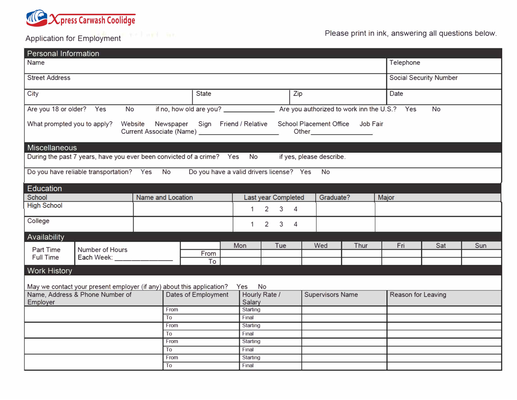

Application for Employment **All and Structure in the example of the Contract Contract Contract Contract Contract Contract Contract Contract Contract Contract Contract Contract Contract Contract Contract Contract Contract C** 

| <b>Personal Information</b>                                                                                                                                             |                   |            |                     |            |     |                                    |  |  |       |                               |  |             |                    |     |  |
|-------------------------------------------------------------------------------------------------------------------------------------------------------------------------|-------------------|------------|---------------------|------------|-----|------------------------------------|--|--|-------|-------------------------------|--|-------------|--------------------|-----|--|
| <b>Name</b>                                                                                                                                                             |                   |            |                     |            |     |                                    |  |  |       | Telephone                     |  |             |                    |     |  |
| <b>Street Address</b>                                                                                                                                                   |                   |            |                     |            |     |                                    |  |  |       | <b>Social Security Number</b> |  |             |                    |     |  |
| City<br><b>State</b>                                                                                                                                                    |                   |            |                     |            | Zip |                                    |  |  |       |                               |  | <b>Date</b> |                    |     |  |
| Are you 18 or older? Yes<br><b>No</b><br><b>No</b>                                                                                                                      |                   |            |                     |            |     |                                    |  |  |       |                               |  |             |                    |     |  |
| School Placement Office Job Fair<br>What prompted you to apply?<br>Website Newspaper Sign Friend / Relative<br>Current Associate (Name) <b>Current Associate (Name)</b> |                   |            |                     |            |     |                                    |  |  |       |                               |  |             |                    |     |  |
| <b>Miscellaneous</b>                                                                                                                                                    |                   |            |                     |            |     |                                    |  |  |       |                               |  |             |                    |     |  |
| During the past 7 years, have you ever been convicted of a crime? Yes No if yes, please describe.                                                                       |                   |            |                     |            |     |                                    |  |  |       |                               |  |             |                    |     |  |
| Do you have reliable transportation? Yes No<br>Do you have a valid drivers license? Yes<br><b>No</b>                                                                    |                   |            |                     |            |     |                                    |  |  |       |                               |  |             |                    |     |  |
| <b>Education</b>                                                                                                                                                        |                   |            |                     |            |     |                                    |  |  |       |                               |  |             |                    |     |  |
| School                                                                                                                                                                  | Name and Location |            | Last year Completed |            |     | Graduate?                          |  |  | Major |                               |  |             |                    |     |  |
| <b>High School</b>                                                                                                                                                      |                   |            |                     |            |     | $2 \quad 3 \quad 4$<br>1           |  |  |       |                               |  |             |                    |     |  |
| College                                                                                                                                                                 |                   |            |                     |            |     | $\overline{2}$<br>1<br>$3 \quad 4$ |  |  |       |                               |  |             |                    |     |  |
| Availability                                                                                                                                                            |                   |            |                     |            |     |                                    |  |  |       |                               |  |             |                    |     |  |
| <b>Part Time</b><br><b>Number of Hours</b><br><b>Full Time</b><br>Each Week: ____________                                                                               |                   |            |                     | <b>Mon</b> |     | Tue                                |  |  | Wed   | Thur                          |  | Fri         | Sat                | Sun |  |
|                                                                                                                                                                         |                   | From<br>To |                     |            |     |                                    |  |  |       |                               |  |             |                    |     |  |
| <b>Work History</b>                                                                                                                                                     |                   |            |                     |            |     |                                    |  |  |       |                               |  |             |                    |     |  |
|                                                                                                                                                                         |                   |            |                     |            |     |                                    |  |  |       |                               |  |             |                    |     |  |
| May we contact your present employer (if any) about this application?<br>Yes No<br><b>Supervisors Name</b>                                                              |                   |            |                     |            |     |                                    |  |  |       |                               |  |             |                    |     |  |
| Name, Address & Phone Number of<br><b>Employer</b>                                                                                                                      |                   |            | Dates of Employment |            |     | Hourly Rate /<br>Salary            |  |  |       |                               |  |             | Reason for Leaving |     |  |
|                                                                                                                                                                         |                   |            | From                |            |     | Starting                           |  |  |       |                               |  |             |                    |     |  |
|                                                                                                                                                                         |                   |            | To                  |            |     | Final                              |  |  |       |                               |  |             |                    |     |  |
|                                                                                                                                                                         |                   |            | From                |            |     | Starting                           |  |  |       |                               |  |             |                    |     |  |
|                                                                                                                                                                         |                   |            | To                  |            |     | Final                              |  |  |       |                               |  |             |                    |     |  |
|                                                                                                                                                                         |                   |            | From                |            |     | <b>Starting</b>                    |  |  |       |                               |  |             |                    |     |  |
|                                                                                                                                                                         |                   |            | To                  |            |     | Final                              |  |  |       |                               |  |             |                    |     |  |
|                                                                                                                                                                         |                   |            | From                |            |     | <b>Starting</b>                    |  |  |       |                               |  |             |                    |     |  |
|                                                                                                                                                                         | T <sub>o</sub>    |            |                     | Final      |     |                                    |  |  |       |                               |  |             |                    |     |  |